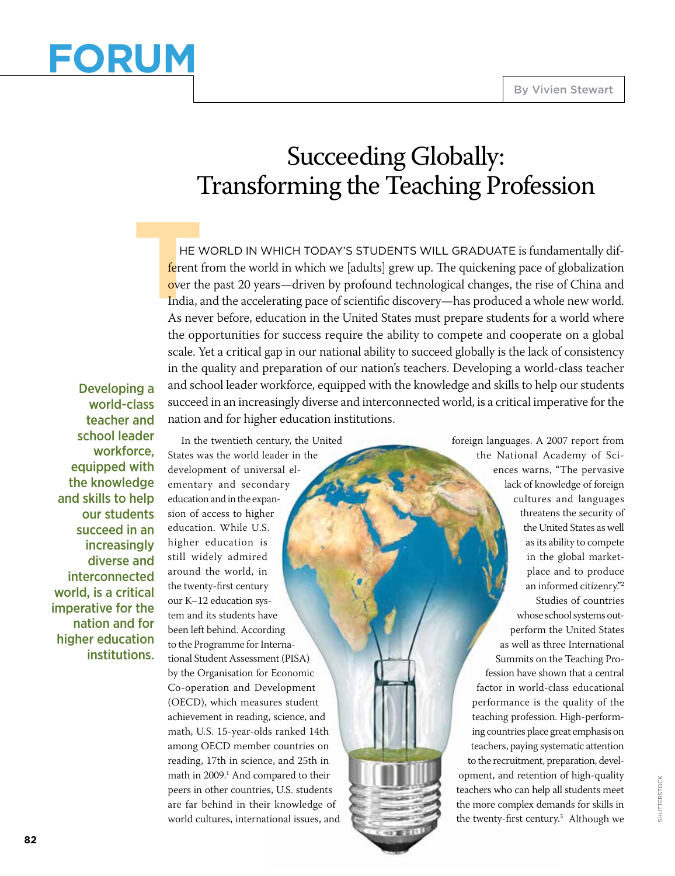# **Forum**

### Succeeding Globally: Transforming the Teaching Profession

**THE V**<br> **THE V**<br> **THE V**<br> **THE V**<br> **THE V**<br> **THE V**<br> **THE V**<br> **THE V**<br> **THE V**<br> **THE V**<br> **THE V**<br> **THE V**  he world in which today's students will graduate is fundamentally different from the world in which we [adults] grew up. The quickening pace of globalization over the past 20 years—driven by profound technological changes, the rise of China and India, and the accelerating pace of scientific discovery—has produced a whole new world. As never before, education in the United States must prepare students for a world where the opportunities for success require the ability to compete and cooperate on a global scale. Yet a critical gap in our national ability to succeed globally is the lack of consistency in the quality and preparation of our nation's teachers. Developing a world-class teacher and school leader workforce, equipped with the knowledge and skills to help our students succeed in an increasingly diverse and interconnected world, is a critical imperative for the nation and for higher education institutions.

Developing a world-class teacher and school leader workforce, equipped with the knowledge and skills to help our students succeed in an increasingly diverse and interconnected world, is a critical imperative for the nation and for higher education institutions.

In the twentieth century, the United States was the world leader in the development of universal elementary and secondary education and in the expansion of access to higher education. While U.S. higher education is still widely admired around the world, in the twenty-first century our K–12 education system and its students have been left behind. According to the Programme for International Student Assessment (PISA) by the Organisation for Economic Co-operation and Development (OECD), which measures student achievement in reading, science, and math, U.S. 15-year-olds ranked 14th among OECD member countries on reading, 17th in science, and 25th in math in 2009.<sup>1</sup> And compared to their peers in other countries, U.S. students are far behind in their knowledge of world cultures, international issues, and

foreign languages. A 2007 report from the National Academy of Sciences warns, "The pervasive lack of knowledge of foreign cultures and languages threatens the security of the United States as well as its ability to compete in the global marketplace and to produce an informed citizenry."<sup>2</sup> Studies of countries whose school systems outperform the United States as well as three International Summits on the Teaching Profession have shown that a central factor in world-class educational performance is the quality of the teaching profession. High-performing countries place great emphasis on teachers, paying systematic attention to the recruitment, preparation, development, and retention of high-quality teachers who can help all students meet the more complex demands for skills in the twenty-first century.<sup>3</sup> Although we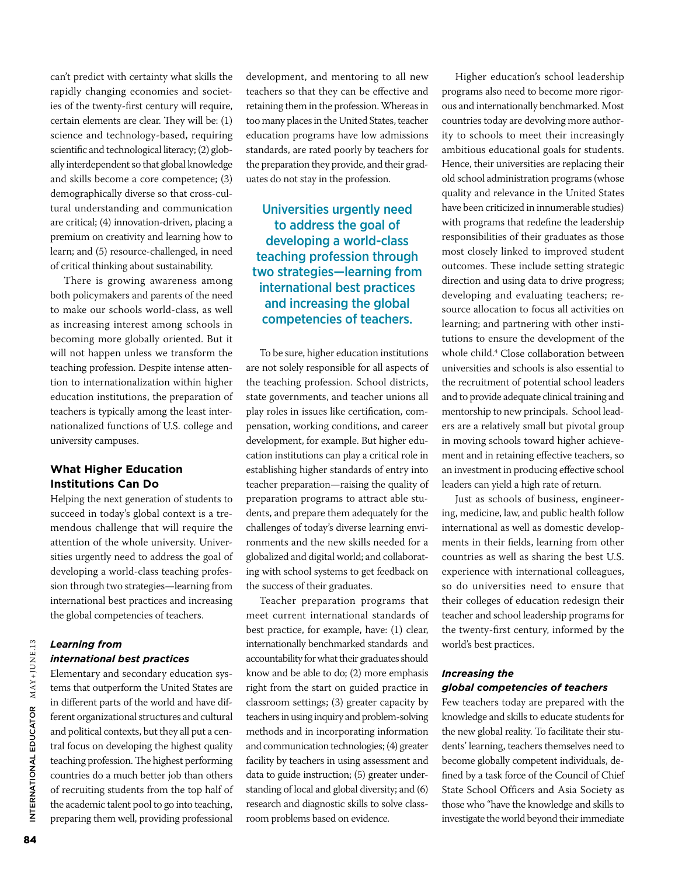can't predict with certainty what skills the rapidly changing economies and societies of the twenty-first century will require, certain elements are clear. They will be: (1) science and technology-based, requiring scientific and technological literacy; (2) globally interdependent so that global knowledge and skills become a core competence; (3) demographically diverse so that cross-cultural understanding and communication are critical; (4) innovation-driven, placing a premium on creativity and learning how to learn; and (5) resource-challenged, in need of critical thinking about sustainability.

There is growing awareness among both policymakers and parents of the need to make our schools world-class, as well as increasing interest among schools in becoming more globally oriented. But it will not happen unless we transform the teaching profession. Despite intense attention to internationalization within higher education institutions, the preparation of teachers is typically among the least internationalized functions of U.S. college and university campuses.

### **What Higher Education Institutions Can Do**

Helping the next generation of students to succeed in today's global context is a tremendous challenge that will require the attention of the whole university. Universities urgently need to address the goal of developing a world-class teaching profession through two strategies—learning from international best practices and increasing the global competencies of teachers.

### *Learning from international best practices*

Elementary and secondary education systems that outperform the United States are in different parts of the world and have different organizational structures and cultural and political contexts, but they all put a central focus on developing the highest quality teaching profession. The highest performing countries do a much better job than others of recruiting students from the top half of the academic talent pool to go into teaching, preparing them well, providing professional

development, and mentoring to all new teachers so that they can be effective and retaining them in the profession. Whereas in too many places in the United States, teacher education programs have low admissions standards, are rated poorly by teachers for the preparation they provide, and their graduates do not stay in the profession.

### Universities urgently need to address the goal of developing a world-class teaching profession through two strategies—learning from international best practices and increasing the global competencies of teachers.

To be sure, higher education institutions are not solely responsible for all aspects of the teaching profession. School districts, state governments, and teacher unions all play roles in issues like certification, compensation, working conditions, and career development, for example. But higher education institutions can play a critical role in establishing higher standards of entry into teacher preparation—raising the quality of preparation programs to attract able students, and prepare them adequately for the challenges of today's diverse learning environments and the new skills needed for a globalized and digital world; and collaborating with school systems to get feedback on the success of their graduates.

Teacher preparation programs that meet current international standards of best practice, for example, have: (1) clear, internationally benchmarked standards and accountability for what their graduates should know and be able to do; (2) more emphasis right from the start on guided practice in classroom settings; (3) greater capacity by teachers in using inquiry and problem-solving methods and in incorporating information and communication technologies; (4) greater facility by teachers in using assessment and data to guide instruction; (5) greater understanding of local and global diversity; and (6) research and diagnostic skills to solve classroom problems based on evidence.

Higher education's school leadership programs also need to become more rigorous and internationally benchmarked. Most countries today are devolving more authority to schools to meet their increasingly ambitious educational goals for students. Hence, their universities are replacing their old school administration programs (whose quality and relevance in the United States have been criticized in innumerable studies) with programs that redefine the leadership responsibilities of their graduates as those most closely linked to improved student outcomes. These include setting strategic direction and using data to drive progress; developing and evaluating teachers; resource allocation to focus all activities on learning; and partnering with other institutions to ensure the development of the whole child.<sup>4</sup> Close collaboration between universities and schools is also essential to the recruitment of potential school leaders and to provide adequate clinical training and mentorship to new principals. School leaders are a relatively small but pivotal group in moving schools toward higher achievement and in retaining effective teachers, so an investment in producing effective school leaders can yield a high rate of return.

Just as schools of business, engineering, medicine, law, and public health follow international as well as domestic developments in their fields, learning from other countries as well as sharing the best U.S. experience with international colleagues, so do universities need to ensure that their colleges of education redesign their teacher and school leadership programs for the twenty-first century, informed by the world's best practices.

### *Increasing the global competencies of teachers*

Few teachers today are prepared with the knowledge and skills to educate students for the new global reality. To facilitate their students' learning, teachers themselves need to become globally competent individuals, defined by a task force of the Council of Chief State School Officers and Asia Society as those who "have the knowledge and skills to investigate the world beyond their immediate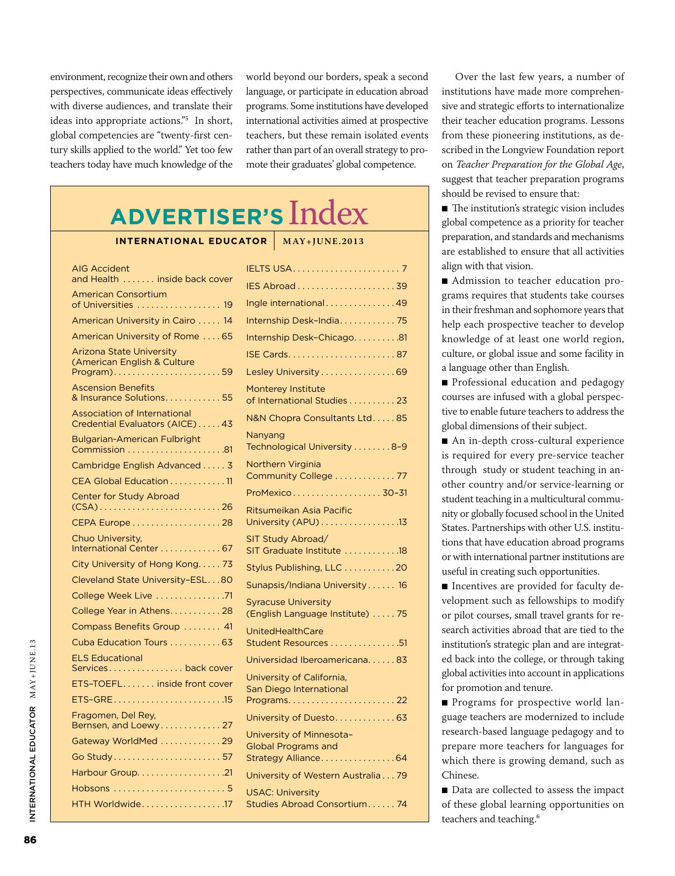environment, recognize their own and others perspectives, communicate ideas effectively with diverse audiences, and translate their ideas into appropriate actions."<sup>5</sup> In short, global competencies are "twenty-first century skills applied to the world." Yet too few teachers today have much knowledge of the

world beyond our borders, speak a second language, or participate in education abroad programs. Some institutions have developed international activities aimed at prospective teachers, but these remain isolated events rather than part of an overall strategy to promote their graduates' global competence.

## **Advertiser's** Index

#### **International Educator** | **MAY+JUNE.2013**

| AIG Accident<br>and Health inside back cover                          |                                                      |
|-----------------------------------------------------------------------|------------------------------------------------------|
| <b>American Consortium</b>                                            |                                                      |
| of Universities  19                                                   | Ingle international49                                |
| American University in Cairo  14                                      | Internship Desk-India 75                             |
| American University of Rome  65                                       | Internship Desk-Chicago81                            |
| Arizona State University                                              |                                                      |
| (American English & Culture<br>Program)59                             | Lesley University 69                                 |
| <b>Ascension Benefits</b>                                             | Monterey Institute                                   |
| & Insurance Solutions. 55                                             | of International Studies 23                          |
| <b>Association of International</b><br>Credential Evaluators (AICE)43 | N&N Chopra Consultants Ltd85                         |
| Bulgarian-American Fulbright                                          | Nanyang                                              |
|                                                                       | Technological University 8-9                         |
| Cambridge English Advanced 3                                          | Northern Virginia<br>Community College  77           |
| CEA Global Education11                                                | ProMexico 30-31                                      |
| <b>Center for Study Abroad</b>                                        | Ritsumeikan Asia Pacific                             |
| CEPA Europe 28                                                        | University (APU) 13                                  |
| Chuo University,                                                      | SIT Study Abroad/                                    |
| International Center  67                                              | SIT Graduate Institute 18                            |
| City University of Hong Kong 73                                       | Stylus Publishing, LLC 20                            |
| Cleveland State University-ESL80                                      | Sunapsis/Indiana University 16                       |
| College Week Live 71                                                  | <b>Syracuse University</b>                           |
| College Year in Athens28                                              | (English Language Institute)  75                     |
| Compass Benefits Group  41                                            | <b>UnitedHealthCare</b>                              |
| Cuba Education Tours 63                                               | Student Resources 51                                 |
| <b>ELS Educational</b><br>Services back cover                         | Universidad Iberoamericana83                         |
| ETS-TOEFL inside front cover                                          | University of California,<br>San Diego International |
|                                                                       |                                                      |
| Fragomen, Del Rey,<br>Bernsen, and Loewy 27                           | University of Duesto 63                              |
| Gateway WorldMed 29                                                   | University of Minnesota-                             |
| Go Study57                                                            | <b>Global Programs and</b><br>Strategy Alliance64    |
|                                                                       | University of Western Australia79                    |
|                                                                       | <b>USAC: University</b>                              |
| HTH Worldwide17                                                       | Studies Abroad Consortium 74                         |

Over the last few years, a number of institutions have made more comprehensive and strategic efforts to internationalize their teacher education programs. Lessons from these pioneering institutions, as described in the Longview Foundation report on *Teacher Preparation for the Global Age*, suggest that teacher preparation programs should be revised to ensure that:

■ The institution's strategic vision includes global competence as a priority for teacher preparation, and standards and mechanisms are established to ensure that all activities align with that vision.

■ Admission to teacher education programs requires that students take courses in their freshman and sophomore years that help each prospective teacher to develop knowledge of at least one world region, culture, or global issue and some facility in a language other than English.

■ Professional education and pedagogy courses are infused with a global perspective to enable future teachers to address the global dimensions of their subject.

■ An in-depth cross-cultural experience is required for every pre-service teacher through study or student teaching in another country and/or service-learning or student teaching in a multicultural community or globally focused school in the United States. Partnerships with other U.S. institutions that have education abroad programs or with international partner institutions are useful in creating such opportunities.

■ Incentives are provided for faculty development such as fellowships to modify or pilot courses, small travel grants for research activities abroad that are tied to the institution's strategic plan and are integrated back into the college, or through taking global activities into account in applications for promotion and tenure.

■ Programs for prospective world language teachers are modernized to include research-based language pedagogy and to prepare more teachers for languages for which there is growing demand, such as Chinese.

■ Data are collected to assess the impact of these global learning opportunities on teachers and teaching.<sup>6</sup>